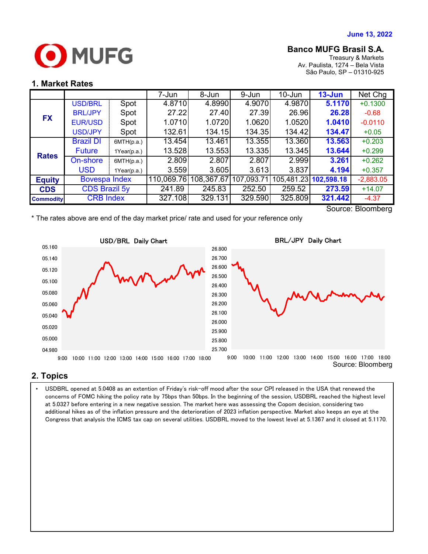

# **Banco MUFG Brasil S.A.**

Treasury & Markets Av. Paulista, 1274 – Bela Vista São Paulo, SP – 01310-925

## **1. Market Rates**

|                  |                      |             | 7-Jun      | 8-Jun      | 9-Jun      | $10 - Jun$ | $13 - Jun$            | Net Chg     |
|------------------|----------------------|-------------|------------|------------|------------|------------|-----------------------|-------------|
|                  | <b>USD/BRL</b>       | Spot        | 4.8710     | 4.8990     | 4.9070     | 4.9870     | 5.1170                | $+0.1300$   |
| <b>FX</b>        | <b>BRL/JPY</b>       | Spot        | 27.22      | 27.40      | 27.39      | 26.96      | 26.28                 | $-0.68$     |
|                  | <b>EUR/USD</b>       | Spot        | 1.0710     | 1.0720     | 1.0620     | 1.0520     | 1.0410                | $-0.0110$   |
|                  | <b>USD/JPY</b>       | Spot        | 132.61     | 134.15     | 134.35     | 134.42     | 134.47                | $+0.05$     |
| <b>Rates</b>     | <b>Brazil DI</b>     | 6MTH(p.a.)  | 13.454     | 13.461     | 13.355     | 13.360     | 13.563                | $+0.203$    |
|                  | <b>Future</b>        | 1Year(p.a.) | 13.528     | 13.553     | 13.335     | 13.345     | 13.644                | $+0.299$    |
|                  | On-shore             | 6MTH(p.a.)  | 2.809      | 2.807      | 2.807      | 2.999      | 3.261                 | $+0.262$    |
|                  | <b>USD</b>           | 1Year(p.a.) | 3.559      | 3.605      | 3.613      | 3.837      | 4.194                 | $+0.357$    |
| <b>Equity</b>    | <b>Bovespa Index</b> |             | 110,069.76 | 108,367.67 | 107,093.71 |            | 105,481.23 102,598.18 | $-2,883.05$ |
| <b>CDS</b>       | <b>CDS Brazil 5y</b> |             | 241.89     | 245.83     | 252.50     | 259.52     | 273.59                | $+14.07$    |
| <b>Commodity</b> | <b>CRB Index</b>     |             | 327.108    | 329.131    | 329.590    | 325.809    | 321.442               | $-4.37$     |

\* The rates above are end of the day market price/ rate and used for your reference only

Source: Bloomberg



### **2. Topics**

 additional hikes as of the inflation pressure and the deterioration of 2023 inflation perspective. Market also keeps an eye at the • USDBRL opened at 5.0408 as an extention of Friday's risk-off mood after the sour CPI released in the USA that renewed the concerns of FOMC hiking the policy rate by 75bps than 50bps. In the beginning of the session, USDBRL reached the highest level at 5.0327 before entering in a new negative session. The market here was assessing the Copom decision, considering two Congress that analysis the ICMS tax cap on several utilities. USDBRL moved to the lowest level at 5.1367 and it closed at 5.1170.